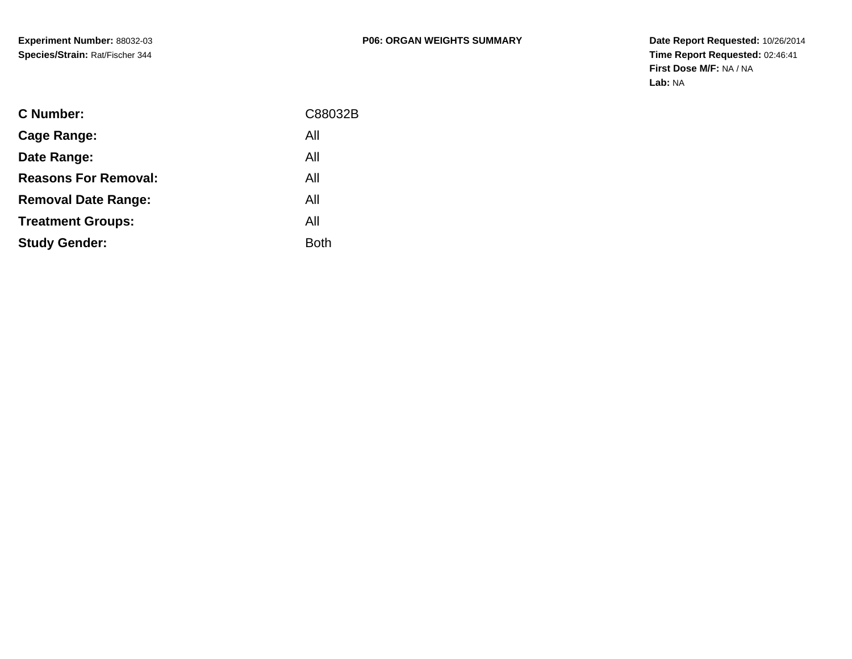**Date Report Requested:** 10/26/2014 **Time Report Requested:** 02:46:41**First Dose M/F:** NA / NA**Lab:** NA

| C Number:                   | C88032B     |
|-----------------------------|-------------|
| Cage Range:                 | All         |
| Date Range:                 | All         |
| <b>Reasons For Removal:</b> | All         |
| <b>Removal Date Range:</b>  | All         |
| <b>Treatment Groups:</b>    | All         |
| <b>Study Gender:</b>        | <b>Both</b> |
|                             |             |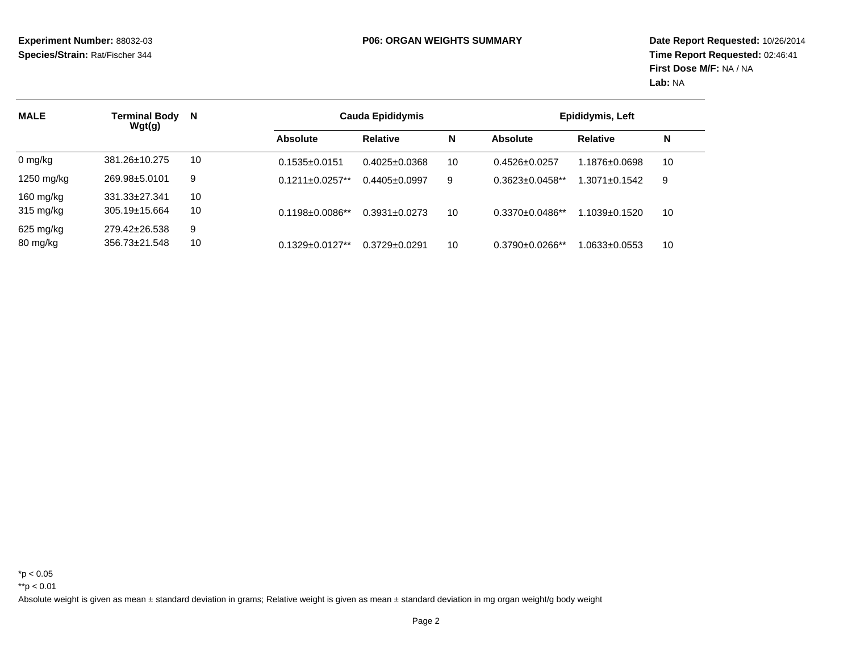| <b>MALE</b> | Terminal Body<br>Wgt(g) | N  | <b>Cauda Epididymis</b> |                     | Epididymis, Left |                        |                    |    |
|-------------|-------------------------|----|-------------------------|---------------------|------------------|------------------------|--------------------|----|
|             |                         |    | <b>Absolute</b>         | <b>Relative</b>     | N                | <b>Absolute</b>        | <b>Relative</b>    | N  |
| $0$ mg/kg   | 381.26±10.275           | 10 | $0.1535+0.0151$         | $0.4025 \pm 0.0368$ | 10               | $0.4526 \pm 0.0257$    | 1.1876±0.0698      | 10 |
| 1250 mg/kg  | 269.98±5.0101           | 9  | $0.1211 \pm 0.0257**$   | $0.4405 \pm 0.0997$ | 9                | $0.3623 \pm 0.0458$ ** | $.3071 \pm 0.1542$ | 9  |
| 160 $mg/kg$ | 331.33±27.341           | 10 |                         |                     |                  |                        |                    |    |
| 315 mg/kg   | $305.19 \pm 15.664$     | 10 | $0.1198 \pm 0.0086$ **  | $0.3931 \pm 0.0273$ | 10               | $0.3370\pm0.0486**$    | 1.1039±0.1520      | 10 |
| 625 mg/kg   | 279.42±26.538           | 9  |                         |                     |                  |                        |                    |    |
| 80 mg/kg    | 356.73±21.548           | 10 | $0.1329 \pm 0.0127**$   | $0.3729 \pm 0.0291$ | 10               | $0.3790 \pm 0.0266$ ** | 1.0633±0.0553      | 10 |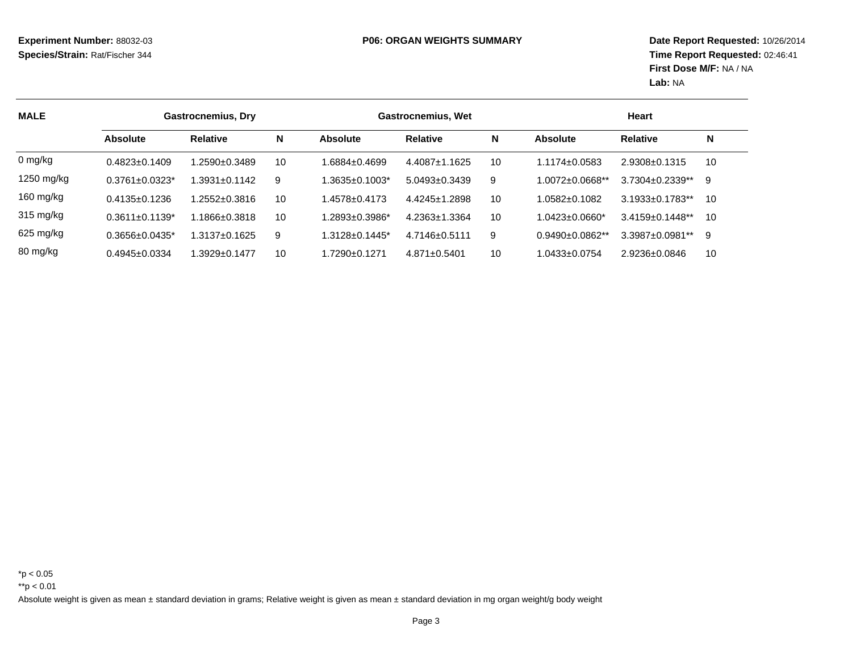| <b>MALE</b> | <b>Gastrocnemius, Dry</b> |                    |    |                                  | <b>Gastrocnemius, Wet</b> |    | Heart                  |                        |    |
|-------------|---------------------------|--------------------|----|----------------------------------|---------------------------|----|------------------------|------------------------|----|
|             | <b>Absolute</b>           | <b>Relative</b>    | N  | Absolute                         | <b>Relative</b>           | N  | Absolute               | <b>Relative</b>        | N  |
| $0$ mg/kg   | $0.4823 \pm 0.1409$       | $.2590+0.3489$     | 10 | 1.6884+0.4699                    | $4.4087 \pm 1.1625$       | 10 | 1.1174+0.0583          | $2.9308 \pm 0.1315$    | 10 |
| 1250 mg/kg  | $0.3761 \pm 0.0323$ *     | $.3931 \pm 0.1142$ | 9  | 1.3635±0.1003*                   | $5.0493 \pm 0.3439$       | 9  | 1.0072±0.0668**        | 3.7304±0.2339**        | 9  |
| 160 mg/kg   | $0.4135 \pm 0.1236$       | $.2552 \pm 0.3816$ | 10 | 1.4578±0.4173                    | $4.4245 \pm 1.2898$       | 10 | 0582+0.1082            | $3.1933 \pm 0.1783$ ** | 10 |
| 315 mg/kg   | $0.3611 \pm 0.1139$ *     | 1.1866±0.3818      | 10 | 1.2893±0.3986*                   | $4.2363 \pm 1.3364$       | 10 | 1.0423±0.0660*         | $3.4159 \pm 0.1448**$  | 10 |
| 625 mg/kg   | $0.3656 \pm 0.0435$ *     | 1.3137±0.1625      | 9  | $1.3128 \pm 0.1445$ <sup>*</sup> | $4.7146 \pm 0.5111$       | 9  | $0.9490 \pm 0.0862$ ** | 3.3987±0.0981**        | 9  |
| 80 mg/kg    | $0.4945 \pm 0.0334$       | $.3929 \pm 0.1477$ | 10 | 1.7290+0.1271                    | $4.871 \pm 0.5401$        | 10 | 0433±0.0754            | 2.9236±0.0846          | 10 |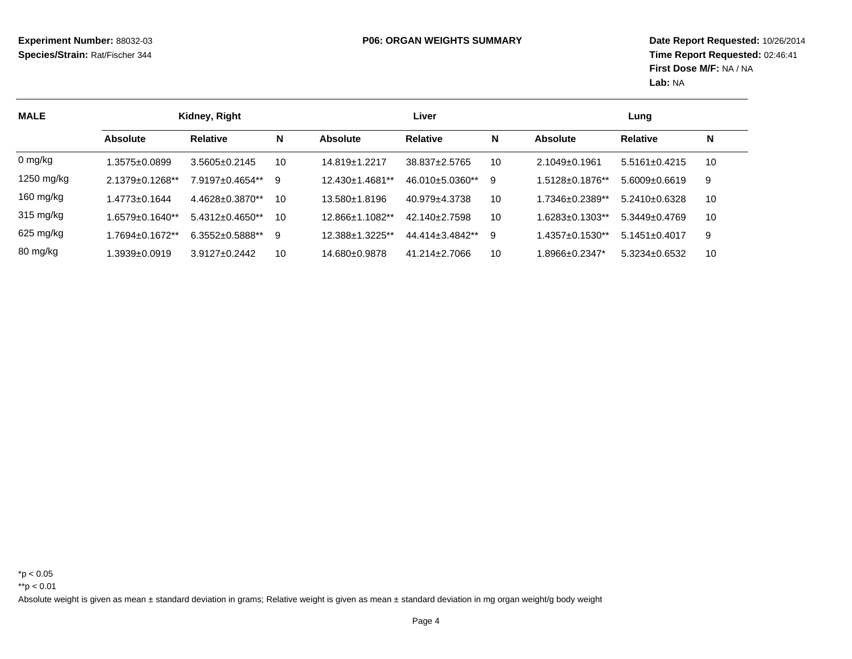**Date Report Requested:** 10/26/2014 **Time Report Requested:** 02:46:41**First Dose M/F:** NA / NA**Lab:** NA

| <b>MALE</b> | Kidney, Right          |                        |    |                 | Liver               | Lung |                        |                     |    |
|-------------|------------------------|------------------------|----|-----------------|---------------------|------|------------------------|---------------------|----|
|             | <b>Absolute</b>        | <b>Relative</b>        | N  | <b>Absolute</b> | <b>Relative</b>     | N    | <b>Absolute</b>        | <b>Relative</b>     | N  |
| $0$ mg/kg   | $0.3575 \pm 0.0899$    | $3.5605 + 0.2145$      | 10 | 14.819±1.2217   | 38.837±2.5765       | 10   | $2.1049 \pm 0.1961$    | $5.5161 \pm 0.4215$ | 10 |
| 1250 mg/kg  | $2.1379 \pm 0.1268$ ** | 7.9197±0.4654**        | 9  | 12.430±1.4681** | 46.010±5.0360**     | 9    | $1.5128 \pm 0.1876$ ** | $5.6009 \pm 0.6619$ | 9  |
| 160 mg/kg   | .4773±0.1644           | $4.4628 \pm 0.3870$ ** | 10 | 13.580±1.8196   | 40.979±4.3738       | 10   | $1.7346 \pm 0.2389$ ** | $5.2410 \pm 0.6328$ | 10 |
| 315 mg/kg   | 1.6579±0.1640**        | $5.4312 \pm 0.4650$ ** | 10 | 12.866±1.1082** | $42.140 \pm 2.7598$ | 10   | $1.6283 \pm 0.1303**$  | $5.3449 \pm 0.4769$ | 10 |
| 625 mg/kg   | 1.7694±0.1672**        | $6.3552 \pm 0.5888$ ** | 9  | 12.388±1.3225** | 44.414±3.4842**     | 9    | $1.4357 \pm 0.1530**$  | $5.1451 \pm 0.4017$ | 9  |
| 80 mg/kg    | $.3939 + 0.0919$       | $3.9127 + 0.2442$      | 10 | 14.680±0.9878   | $41.214 \pm 2.7066$ | 10   | 1.8966±0.2347*         | 5.3234±0.6532       | 10 |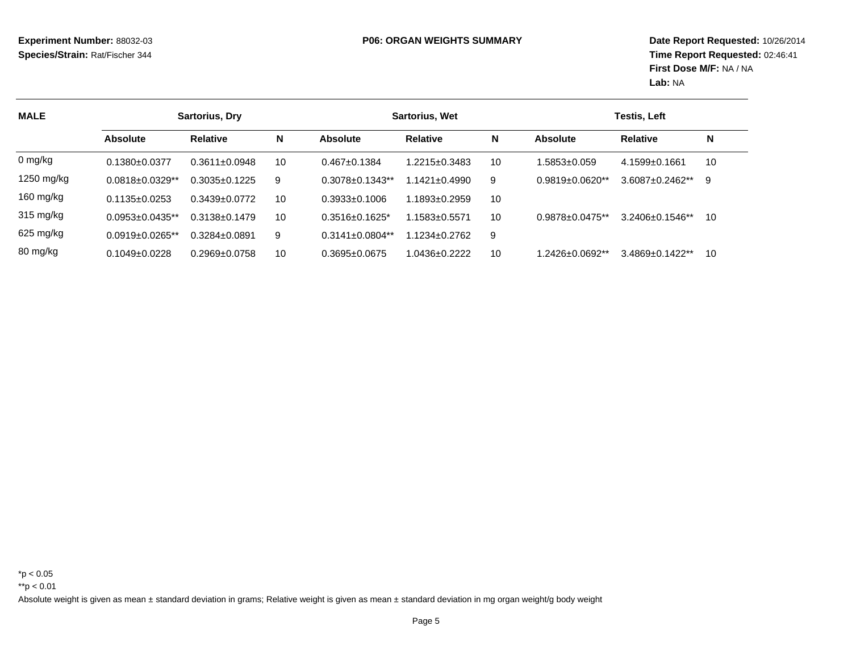| <b>MALE</b>         | <b>Sartorius, Dry</b>  |                     |    |                                | <b>Sartorius, Wet</b> | Testis, Left |                        |                       |    |
|---------------------|------------------------|---------------------|----|--------------------------------|-----------------------|--------------|------------------------|-----------------------|----|
|                     | <b>Absolute</b>        | <b>Relative</b>     | N  | <b>Absolute</b>                | <b>Relative</b>       | N            | <b>Absolute</b>        | <b>Relative</b>       | N  |
| 0 mg/kg             | $0.1380+0.0377$        | $0.3611 \pm 0.0948$ | 10 | $0.467 \pm 0.1384$             | 1.2215±0.3483         | 10           | .5853±0.059            | $4.1599 + 0.1661$     | 10 |
| 1250 mg/kg          | $0.0818 \pm 0.0329$ ** | $0.3035 \pm 0.1225$ | 9  | $0.3078 + 0.1343**$            | $.1421 + 0.4990$      | 9            | $0.9819 \pm 0.0620$ ** | $3.6087 \pm 0.2462**$ | 9  |
| 160 mg/kg           | $0.1135 \pm 0.0253$    | $0.3439 + 0.0772$   | 10 | $0.3933\pm0.1006$              | $.1893 + 0.2959$      | 10           |                        |                       |    |
| $315 \text{ mg/kg}$ | $0.0953 + 0.0435**$    | $0.3138 + 0.1479$   | 10 | $0.3516 + 0.1625$ <sup>*</sup> | 1.1583+0.5571         | 10           | $0.9878 + 0.0475**$    | $3.2406 + 0.1546**$   | 10 |
| 625 mg/kg           | $0.0919 \pm 0.0265$ ** | $0.3284 \pm 0.0891$ | 9  | $0.3141 \pm 0.0804$ **         | 1.1234±0.2762         | 9            |                        |                       |    |
| 80 mg/kg            | $0.1049 \pm 0.0228$    | $0.2969 + 0.0758$   | 10 | $0.3695 \pm 0.0675$            | $.0436 + 0.2222$      | 10           | 1.2426±0.0692**        | $3.4869 \pm 0.1422**$ | 10 |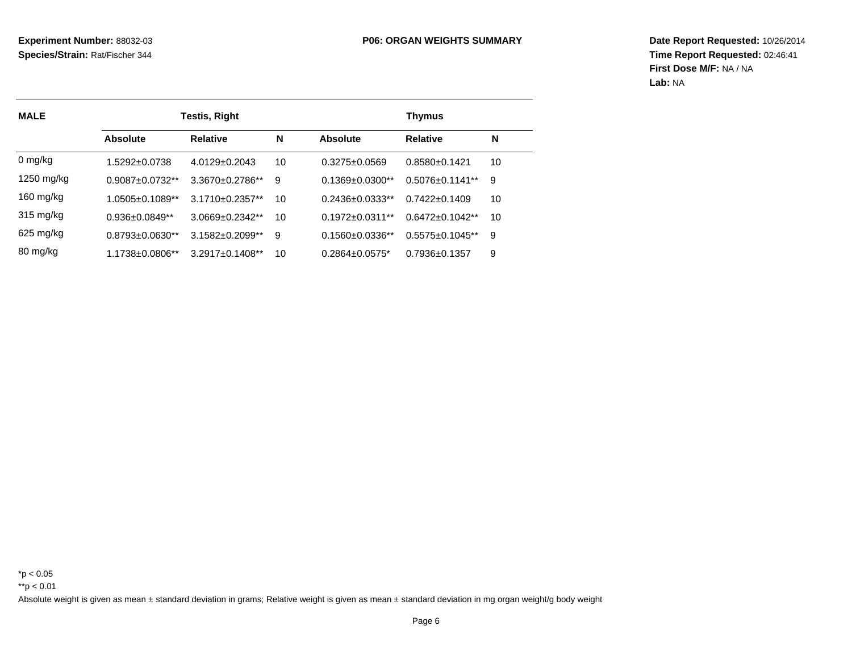**Date Report Requested:** 10/26/2014 **Time Report Requested:** 02:46:41**First Dose M/F:** NA / NA**Lab:** NA

| <b>MALE</b>         |                        | <b>Testis, Right</b> | <b>Thymus</b> |                        |                       |    |
|---------------------|------------------------|----------------------|---------------|------------------------|-----------------------|----|
|                     | <b>Absolute</b>        | <b>Relative</b>      | N             | Absolute               | <b>Relative</b>       | N  |
| 0 mg/kg             | 1.5292+0.0738          | $4.0129 + 0.2043$    | 10            | $0.3275 \pm 0.0569$    | $0.8580 + 0.1421$     | 10 |
| 1250 mg/kg          | $0.9087 \pm 0.0732$ ** | $3.3670 + 0.2786**$  | 9             | $0.1369 \pm 0.0300$ ** | $0.5076 + 0.1141**$   | 9  |
| 160 mg/kg           | $1.0505 \pm 0.1089$ ** | $3.1710 + 0.2357**$  | 10            | $0.2436 + 0.0333**$    | $0.7422 \pm 0.1409$   | 10 |
| $315 \text{ mg/kg}$ | $0.936 \pm 0.0849$ **  | $3.0669 + 0.2342**$  | 10            | $0.1972 \pm 0.0311$ ** | $0.6472 \pm 0.1042**$ | 10 |
| 625 mg/kg           | $0.8793 + 0.0630**$    | $3.1582 + 0.2099**$  | 9             | $0.1560 + 0.0336**$    | $0.5575 + 0.1045**$   | 9  |
| 80 mg/kg            | $1.1738 + 0.0806**$    | $3.2917 + 0.1408**$  | 10            | $0.2864 + 0.0575*$     | $0.7936 + 0.1357$     | 9  |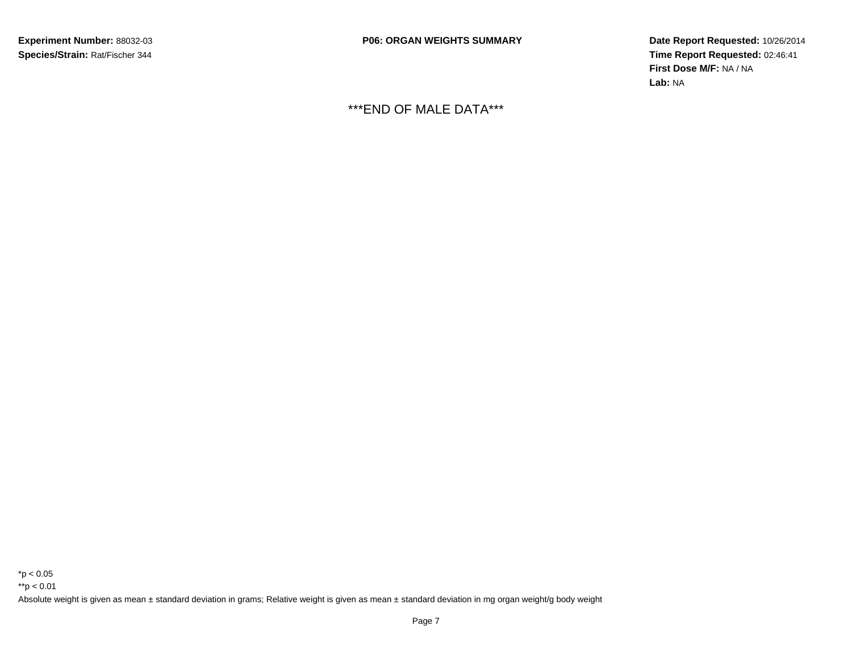**P06: ORGAN WEIGHTS SUMMARY**

 **Date Report Requested:** 10/26/2014 **Time Report Requested:** 02:46:41**First Dose M/F:** NA / NA**Lab:** NA

\*\*\*END OF MALE DATA\*\*\*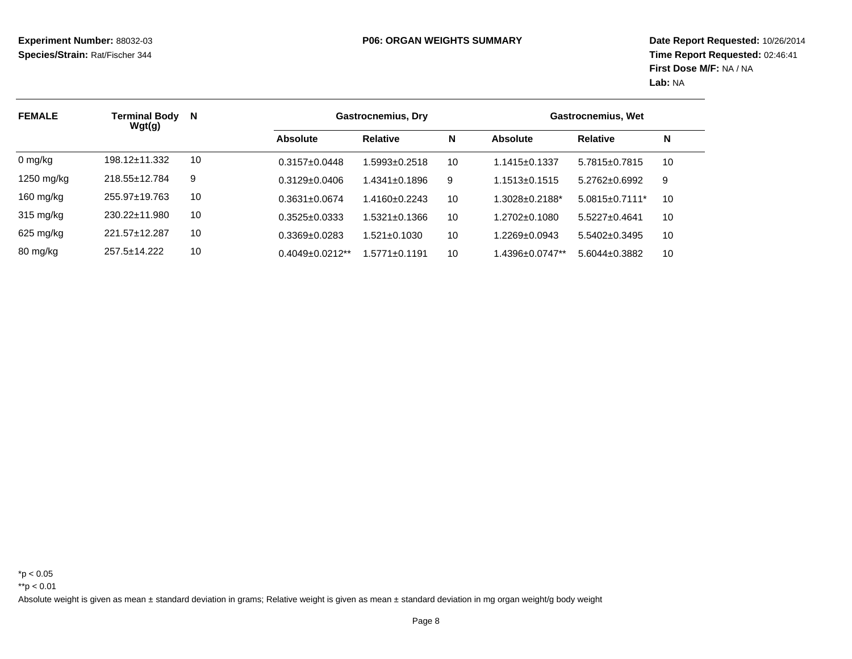| <b>FEMALE</b> | <b>Terminal Body</b><br>Wgt(g) | N<br><b>Gastrocnemius, Dry</b> |                       |                    |    | Gastrocnemius, Wet  |                                  |    |  |
|---------------|--------------------------------|--------------------------------|-----------------------|--------------------|----|---------------------|----------------------------------|----|--|
|               |                                |                                | <b>Absolute</b>       | <b>Relative</b>    | N  | Absolute            | <b>Relative</b>                  | N  |  |
| 0 mg/kg       | $198.12 \pm 11.332$            | 10                             | $0.3157 \pm 0.0448$   | 1.5993±0.2518      | 10 | $1.1415 \pm 0.1337$ | $5.7815 \pm 0.7815$              | 10 |  |
| 1250 mg/kg    | 218.55±12.784                  | 9                              | $0.3129 \pm 0.0406$   | 1.4341±0.1896      | 9  | $1.1513 \pm 0.1515$ | $5.2762 \pm 0.6992$              | 9  |  |
| 160 mg/kg     | 255.97±19.763                  | 10                             | $0.3631 \pm 0.0674$   | 1.4160+0.2243      | 10 | 1.3028±0.2188*      | $5.0815 \pm 0.7111$ <sup>*</sup> | 10 |  |
| 315 mg/kg     | 230.22±11.980                  | 10                             | $0.3525 \pm 0.0333$   | 1.5321±0.1366      | 10 | 1.2702+0.1080       | $5.5227 \pm 0.4641$              | 10 |  |
| $625$ mg/kg   | 221.57+12.287                  | 10                             | $0.3369 + 0.0283$     | $1.521 \pm 0.1030$ | 10 | $1.2269 \pm 0.0943$ | $5.5402 \pm 0.3495$              | 10 |  |
| 80 mg/kg      | $257.5 \pm 14.222$             | 10                             | $0.4049 \pm 0.0212**$ | 1.5771+0.1191      | 10 | .4396±0.0747**      | $5.6044 \pm 0.3882$              | 10 |  |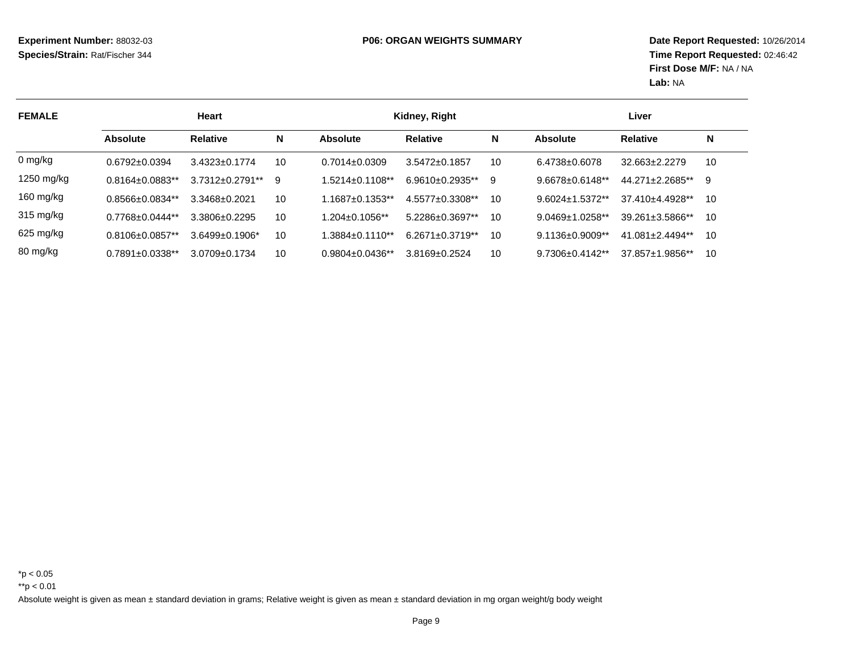**Date Report Requested:** 10/26/2014 **Time Report Requested:** 02:46:42**First Dose M/F:** NA / NA**Lab:** NA

| <b>FEMALE</b> | <b>Heart</b>           |                        |    |                       | Kidney, Right          |    | Liver                             |                        |    |
|---------------|------------------------|------------------------|----|-----------------------|------------------------|----|-----------------------------------|------------------------|----|
|               | <b>Absolute</b>        | <b>Relative</b>        | N  | <b>Absolute</b>       | <b>Relative</b>        | N  | <b>Absolute</b>                   | <b>Relative</b>        | N  |
| 0 mg/kg       | $0.6792 + 0.0394$      | $3.4323 + 0.1774$      | 10 | $0.7014 + 0.0309$     | $3.5472 \pm 0.1857$    | 10 | $6.4738 + 0.6078$                 | $32.663 \pm 2.2279$    | 10 |
| 1250 mg/kg    | $0.8164 \pm 0.0883$ ** | $3.7312 \pm 0.2791$ ** | 9  | $.5214 \pm 0.1108$ ** | $6.9610 \pm 0.2935$ ** | 9  | $9.6678 \pm 0.6148$ <sup>**</sup> | 44.271±2.2685**        | 9  |
| 160 mg/kg     | $0.8566 \pm 0.0834**$  | $3.3468 \pm 0.2021$    | 10 | $.1687 \pm 0.1353$ ** | $4.5577 \pm 0.3308**$  | 10 | $9.6024 \pm 1.5372$ **            | 37.410+4.4928**        | 10 |
| 315 mg/kg     | $0.7768 + 0.0444**$    | 3.3806+0.2295          | 10 | $1.204 \pm 0.1056$ ** | 5.2286±0.3697**        | 10 | $9.0469 \pm 1.0258$ **            | $39.261 \pm 3.5866$ ** | 10 |
| 625 mg/kg     | $0.8106 \pm 0.0857$ ** | $3.6499 \pm 0.1906^*$  | 10 | $.3884\pm0.1110**$    | $6.2671 \pm 0.3719**$  | 10 | $9.1136 \pm 0.9009$ **            | 41.081±2.4494**        | 10 |
| 80 mg/kg      | $0.7891 \pm 0.0338$ ** | $3.0709 \pm 0.1734$    | 10 | $0.9804 \pm 0.0436**$ | $3.8169 \pm 0.2524$    | 10 | $9.7306 \pm 0.4142$ **            | 37.857±1.9856**        | 10 |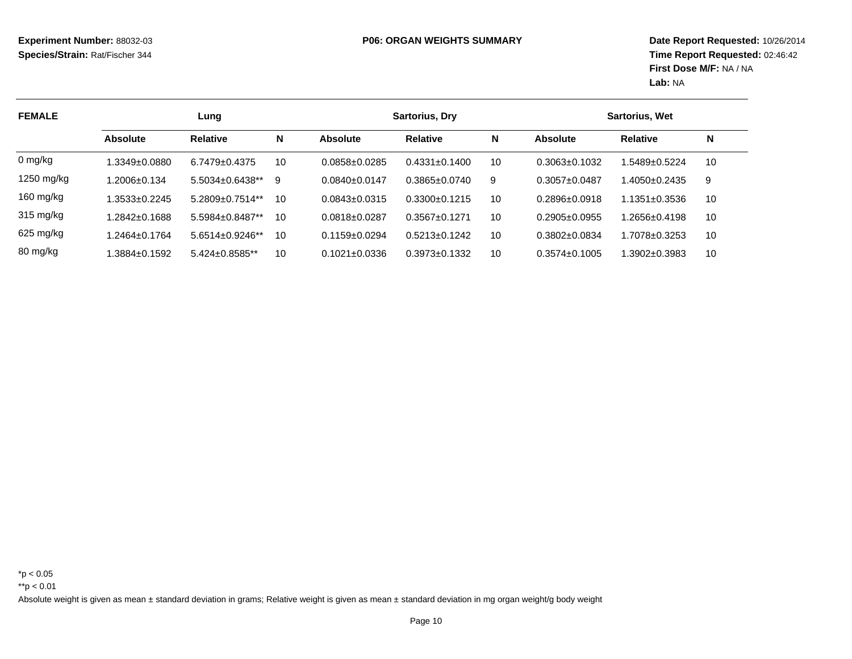| <b>FEMALE</b>       | Lung               |                       |    |                     | <b>Sartorius, Dry</b> |    |                     | <b>Sartorius, Wet</b> |    |  |
|---------------------|--------------------|-----------------------|----|---------------------|-----------------------|----|---------------------|-----------------------|----|--|
|                     | <b>Absolute</b>    | <b>Relative</b>       | N  | <b>Absolute</b>     | <b>Relative</b>       | N  | <b>Absolute</b>     | <b>Relative</b>       | N  |  |
| 0 mg/kg             | 1.3349±0.0880      | $6.7479 \pm 0.4375$   | 10 | $0.0858 \pm 0.0285$ | $0.4331 \pm 0.1400$   | 10 | $0.3063 \pm 0.1032$ | .5489±0.5224          | 10 |  |
| 1250 mg/kg          | 1.2006±0.134       | $5.5034 \pm 0.6438**$ | 9  | $0.0840 + 0.0147$   | $0.3865 + 0.0740$     | 9  | $0.3057 + 0.0487$   | $.4050 \pm 0.2435$    | -9 |  |
| 160 mg/kg           | 1.3533±0.2245      | $5.2809 + 0.7514**$   | 10 | $0.0843 \pm 0.0315$ | $0.3300 + 0.1215$     | 10 | $0.2896 \pm 0.0918$ | 1.1351±0.3536         | 10 |  |
| $315 \text{ mg/kg}$ | 1.2842±0.1688      | 5.5984+0.8487**       | 10 | 0.0818+0.0287       | $0.3567 + 0.1271$     | 10 | $0.2905 + 0.0955$   | $.2656 \pm 0.4198$    | 10 |  |
| 625 mg/kg           | 1.2464±0.1764      | 5.6514±0.9246**       | 10 | $0.1159+0.0294$     | $0.5213 \pm 0.1242$   | 10 | $0.3802 \pm 0.0834$ | .7078±0.3253          | 10 |  |
| 80 mg/kg            | $.3884 \pm 0.1592$ | $5.424 \pm 0.8585$ ** | 10 | $0.1021 \pm 0.0336$ | $0.3973 \pm 0.1332$   | 10 | $0.3574 \pm 0.1005$ | $.3902 \pm 0.3983$    | 10 |  |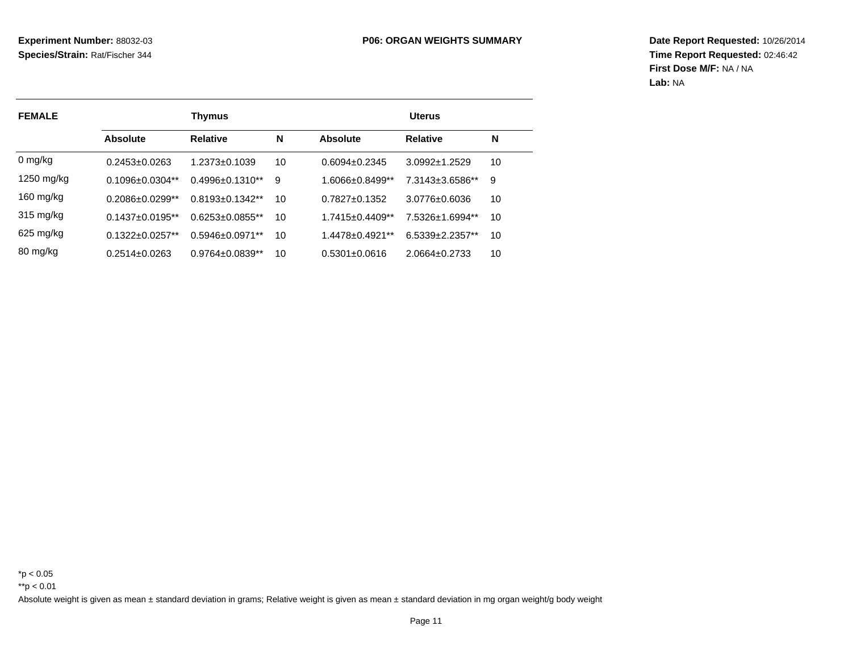**Date Report Requested:** 10/26/2014 **Time Report Requested:** 02:46:42**First Dose M/F:** NA / NA**Lab:** NA

| <b>FEMALE</b>       |                     | <b>Thymus</b>          |    | <b>Uterus</b>       |                   |    |  |  |
|---------------------|---------------------|------------------------|----|---------------------|-------------------|----|--|--|
|                     | Absolute            | <b>Relative</b>        | N  | Absolute            | <b>Relative</b>   | N  |  |  |
| 0 mg/kg             | $0.2453 \pm 0.0263$ | $1.2373 \pm 0.1039$    | 10 | $0.6094 + 0.2345$   | $3.0992 + 1.2529$ | 10 |  |  |
| 1250 mg/kg          | $0.1096 + 0.0304**$ | $0.4996 + 0.1310**$    | 9  | 1.6066+0.8499**     | 7.3143±3.6586**   | 9  |  |  |
| 160 mg/kg           | $0.2086 + 0.0299**$ | $0.8193 + 0.1342**$    | 10 | $0.7827 + 0.1352$   | $3.0776 + 0.6036$ | 10 |  |  |
| $315 \text{ mg/kg}$ | $0.1437 + 0.0195**$ | $0.6253 \pm 0.0855$ ** | 10 | $1.7415 + 0.4409**$ | 7.5326+1.6994**   | 10 |  |  |
| $625$ mg/kg         | $0.1322 + 0.0257**$ | $0.5946 + 0.0971**$    | 10 | 1.4478+0.4921**     | 6.5339+2.2357**   | 10 |  |  |
| 80 mg/kg            | $0.2514 \pm 0.0263$ | $0.9764 \pm 0.0839**$  | 10 | $0.5301 + 0.0616$   | 2.0664+0.2733     | 10 |  |  |